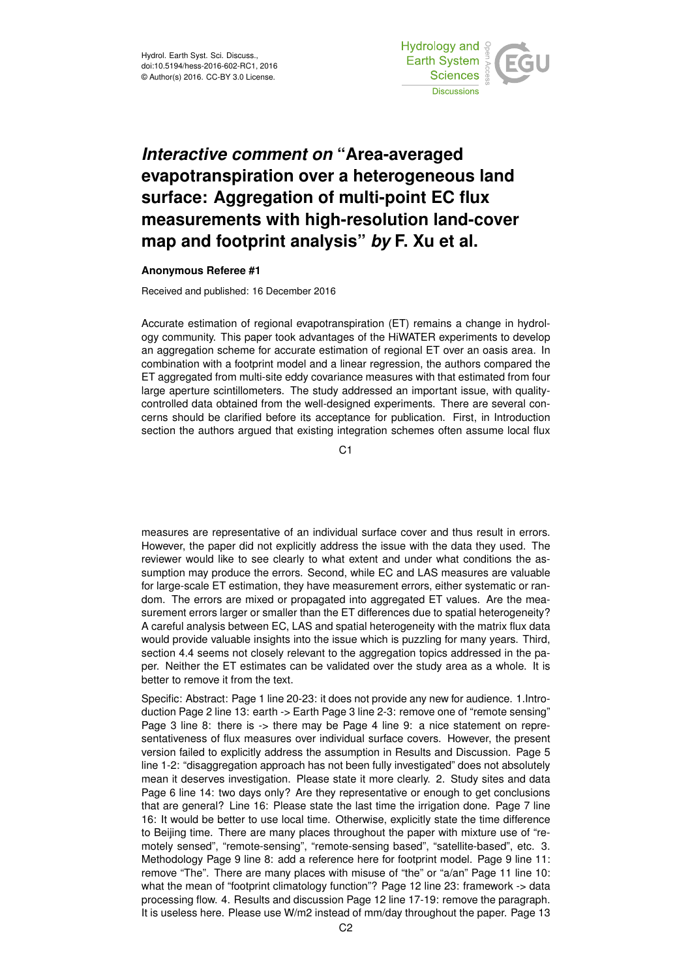

## *Interactive comment on* **"Area-averaged evapotranspiration over a heterogeneous land surface: Aggregation of multi-point EC flux measurements with high-resolution land-cover map and footprint analysis"** *by* **F. Xu et al.**

## **Anonymous Referee #1**

Received and published: 16 December 2016

Accurate estimation of regional evapotranspiration (ET) remains a change in hydrology community. This paper took advantages of the HiWATER experiments to develop an aggregation scheme for accurate estimation of regional ET over an oasis area. In combination with a footprint model and a linear regression, the authors compared the ET aggregated from multi-site eddy covariance measures with that estimated from four large aperture scintillometers. The study addressed an important issue, with qualitycontrolled data obtained from the well-designed experiments. There are several concerns should be clarified before its acceptance for publication. First, in Introduction section the authors argued that existing integration schemes often assume local flux

C<sub>1</sub>

measures are representative of an individual surface cover and thus result in errors. However, the paper did not explicitly address the issue with the data they used. The reviewer would like to see clearly to what extent and under what conditions the assumption may produce the errors. Second, while EC and LAS measures are valuable for large-scale ET estimation, they have measurement errors, either systematic or random. The errors are mixed or propagated into aggregated ET values. Are the measurement errors larger or smaller than the ET differences due to spatial heterogeneity? A careful analysis between EC, LAS and spatial heterogeneity with the matrix flux data would provide valuable insights into the issue which is puzzling for many years. Third, section 4.4 seems not closely relevant to the aggregation topics addressed in the paper. Neither the ET estimates can be validated over the study area as a whole. It is better to remove it from the text.

Specific: Abstract: Page 1 line 20-23: it does not provide any new for audience. 1.Introduction Page 2 line 13: earth -> Earth Page 3 line 2-3: remove one of "remote sensing" Page 3 line 8: there is -> there may be Page 4 line 9: a nice statement on representativeness of flux measures over individual surface covers. However, the present version failed to explicitly address the assumption in Results and Discussion. Page 5 line 1-2: "disaggregation approach has not been fully investigated" does not absolutely mean it deserves investigation. Please state it more clearly. 2. Study sites and data Page 6 line 14: two days only? Are they representative or enough to get conclusions that are general? Line 16: Please state the last time the irrigation done. Page 7 line 16: It would be better to use local time. Otherwise, explicitly state the time difference to Beijing time. There are many places throughout the paper with mixture use of "remotely sensed", "remote-sensing", "remote-sensing based", "satellite-based", etc. 3. Methodology Page 9 line 8: add a reference here for footprint model. Page 9 line 11: remove "The". There are many places with misuse of "the" or "a/an" Page 11 line 10: what the mean of "footprint climatology function"? Page 12 line 23: framework -> data processing flow. 4. Results and discussion Page 12 line 17-19: remove the paragraph. It is useless here. Please use W/m2 instead of mm/day throughout the paper. Page 13